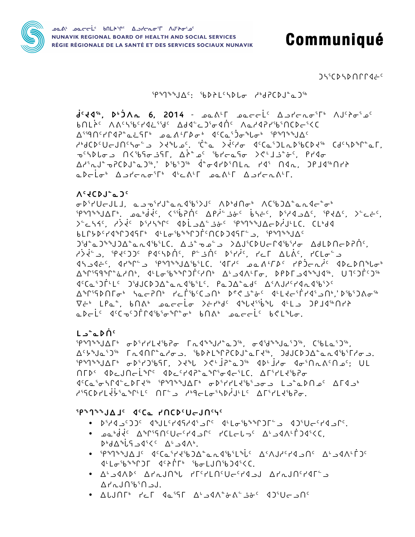- ٬ ∆لunr٬ ۲د۲ (ه-۱۸°د ۹۵٬۲۲ هـ) ۲۰۰
- ₫└L<del>ℴ</del>ˤᲮ<sup></sup>ᲖᲖՐϽℾ ₫ˤᲑՐ๋ℾჼ ˤᲮ<del>ℴ</del>LJՈˤᲮϽ₫ˤ<C. C ALAIN' ALAJN'L HILLO'UC'HIJ ALAJN'HIL  $\Delta$  $\Gamma$ م  $\Gamma$ <sup>56</sup> $\Gamma$
- $D^{\circ}d\Delta^{\circ}L$ 5  $4^{s}C^{c}$   $\Delta^{\circ}$   $4\Lambda^{\circ}$ . ាເມືອງໃນປີເປີດໃນປະທານໃນ ມີຕາມໃນເມືອງໃນ 120 d° 21 Jahr 19° .
- . pabdis Aspignilleire de reletai Augentidese.
- . CCCCCPYP-JU-CPYP-JU-CPYP-JP-POLE-PAJU-CPYP-CCC-CPYP-

# **SPAJAAJE ACCa PNCDCUEJNCYC**

 $L \rightarrow^{\circ} \sim \mathcal{D} \cap^{\circ}$  $5989881005$   $\sigma$  $851111350$   $\sigma$   $\Gamma_0$  $488119$  $\sigma$   $\Gamma_0$  $\sigma$  $351$ ,  $\sigma$  $458810$  $\sigma$  $555$ ,  $C561$  $\sigma$  $555$ , <u> A'YNJa'JIN 「LINNLaYo」, 'bDALIPCDJLaFIN, JJJCDJALaLINGTYo」,</u> NEDS ADEJNELPPS ADESPAPPEPPS-AFSLC, AFSPLESPO 4' Ca וואים 2 בחלים למיצור החלים לא היין בילות היום למודשים למודשים לא בילות היום של ה ל<sup>ק</sup>קכβונלוֹזיש ליטרנסי/לוני ∆ריונלי

 $V_c$   $4CDJ_c$ <sup> $\sigma$  $J_c$ </sup> σ<sup>β</sup>irUcJLJ, appirJ°andibi>J< ΛDbdNσb ΛCibJΔ°andc°σb ip&g&&JAF&, adbddi, <iib?Ni APdi-j&c bht', biddaAc, ipdaC, >ctc,  $\sum_{i=1}^{n}$   $\sum_{i=1}^{n}$   $\sum_{i=1}^{n}$   $\sum_{i=1}^{n}$   $\sum_{i=1}^{n}$   $\sum_{i=1}^{n}$   $\sum_{i=1}^{n}$   $\sum_{i=1}^{n}$   $\sum_{i=1}^{n}$   $\sum_{i=1}^{n}$   $\sum_{i=1}^{n}$ 6LC5D4d&CJ4SFb dLLo&&&CJF4NCDJ4SFEJ. {P&J&&JA} )'d<sup>°</sup>a)''U)Δ<sup>°</sup>and'b'LC, Δ *i* da a >ΔJ'CDUcΓd'b'dσ ΔdLDNcDPN. c Alá<sup>c</sup> ), <sup>ק</sup>ed 20°C pachbÀc, p<sup>c</sup> jÀc piric, rel Alác, rClo<sup>c</sup> JAC C. 'JFY مصدر ALL C. 'JFY مصدر ALL C. 'JFY معامر ALL C. 'JFY C. ALL C. IP C  $\langle 1^c C \alpha^5 D \dot{\Gamma}^L L^c - D^5 d J C D^3 \alpha^6 \alpha^4 D^5 L^c, P \alpha^5 D \alpha^6 \alpha^6 L^c - \Delta^4 \Lambda J A^c L^d \alpha^4 D^5 L^c$  $\nabla \dot{\tau}^{\iota}$  LPa<sup>o</sup>,  $b \cap \Lambda^{\iota}$  parrio  $c^{\iota}$  and  $d^{\iota}$  delets  $d^{\iota}$  delets  $D$ PJd<sup>s</sup>  $\cap$ rr 

 $d^{c}44^{r}$ ,  $D^{b}3\Lambda$  6, 2014 -  $\Omega_{0}A^{c}$   $\Omega_{0}A^{c}$   $\Omega_{0}A^{c}$   $\Omega_{0}A^{c}$   $\Omega_{0}A^{c}$   $\Omega_{0}A^{c}$ bnLichthangeride Bade Jiodne Nardiribinch-ind <u>∆</u><sup>۹۹</sup>۹٬۲۲۹٬۴۰۰ مغربه مه ۱۶۵٬۴۵ مهر موره به ۱۳۶۹٬۹۴۸٬۸۴۸  $\mathcal{A}^{\text{b}}$ لومان المارمان المسلم المسلم المسلم المسلم المسلم المسلم المسلم المسلم المسلم المسلم المسلم المسلم المسلم المسلم المسلم المسلم المسلم المسلم المسلم المسلم المسلم المسلم المسلم المسلم المسلم المسلم المسلم الم τιβισιαι Λί<sup>6</sup>ισιαι Δ<sup>λε</sup>ιοι βιστολσιλίδη του Λίθιο <u> AirderBurde, Bibidir İleyinle</u> ide, Delinin adrio<sup>s</sup> Aprono<sup>s ps</sup> J'an'i pan'i Apronn'i.

# $19999891095$   $16991921910$   $1699999999$

᠊ᢁᢐ᠙᠂ᢁᡏᡄᡄ᠖ᡛᢄ᠉ᡁᢄᢣ᠗ᢣᠾ᠉᠂ᢆ᠗ᠴ᠈ᢣᡄᠾ᠗ NUNAVIK REGIONAL BOARD OF HEALTH AND SOCIAL SERVICES RÉGIE RÉGIONALE DE LA SANTÉ ET DES SERVICES SOCIAUX NUNAVIK

# Communiqué

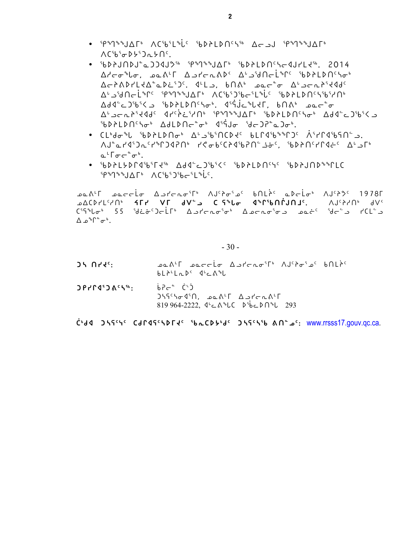- ՙP৽ๅ৽৽J∆୮৽ ∧CՙbՙL৽i৻৽ ՙbD›LDՈՙԿՙʰ ∆ৌJ ՙP৽ๅ৽৽J∆୮৽  $\Lambda$ C $65$  $\sigma$ D $59$  $\Lambda$  $50$  $\sigma$ .
- [60AJNDJ^aJJQJJ\\$ [P\$7\$\$JAF\$ [6DALDNCSc4JrLt\$, 2014  $\Delta$ ۲-۳۹ میلیمی به ۱۹۵۵ میلیم در ۱۹۵ $\Delta$ ۲-۲۰ میلیم به ۱۹۵۵ میلیم در ۱۹۵۵ میلیم به ۱۹۵۵ میلیم به ۱۹۵۵ میلیم به ۱۹۵۵ میلیم به ۱۹۵۵ میلیم به ۱۹۵۵ میلیم به ۱۹۵۵ میلیم به ۱۹۵۵ میلیم به ۱۹۵۵ میلیم به ۱۹۵۵ میلیم به ۱۹۵۵ میلیم به AL SUNCLAPE SPARAJAFL ACS65JS6CSLALE SPALDNESS652NL  $\Delta d4^c \text{C} 2^6 b^6 \text{C} \text{C}$ c>'d'-c alsert de' c ide - ide- ide- ide-c ide-c and ide-c and ide-c and ide-ჼᲮ▷ᲑᲡ▷ՈჼᲐჾჼ ∆ᲫᲡ▷Ⴖᡄ<sup></sup>ჼჾჼ ぽჼႯჾ ჼᲫᡄ<u></u>ჂჇჼჲჂჾჼ
- ^J``a ר'4')^'\DJ\Doldal } \\@P\C}Q{P{D}} }\Q\$QPU{\J`\${\}}}  $\mathsf{a}^{\mathsf{L}}$  $\mathsf{L}\mathsf{a}\mathsf{c}\mathsf{a}^{\mathsf{c}}\mathsf{a}^{\mathsf{b}}$ .
- $5P^{\circ}P^{\circ}A\Delta\Gamma^{\circ}$   $\Lambda C^{\circ}b^{\circ}D^{\circ}b\Gamma^{\circ}L^{\circ}L^{\circ}$

**ALA'T ALA'T** A ACAST<sup>H</sup> A J'Ao's bnir' a Delot A J'A A 1978  $\lambda V$ י און איז כאז כוואר סויינאינגר האינגרער האינגרער האינגרער האינגרער האינגרער האינגרער האינגרער האינגרער הא  $C^{5}S^{6}b\sigma^{6}$  55  ${}^{5}d\dot{\epsilon}\dot{\sigma}^{c}$ ) $\sigma$ LLb Abrard ${}^{5}\sigma^{6}$  Abrard ${}^{5}\sigma$  and  ${}^{5}d\sigma^{c}$  51  $C\dot{\epsilon}^{c}$  $\Delta \mathcal{L}^{\circ} \Gamma^{\circ} \sigma^{\circ}.$ 

 $-30-$ 

- $35.055$ **ALA CONTITY AUGALE ALLA TILAGE**  $bL^{\lambda L}L^{\lambda L}$   $4^{\nu}C^{\lambda}L$
- (د) ∸ہ9ط  $DPr195065%$  $J55^c5\sigma 4^s\Omega$ ,  $J2\Delta t\Gamma$   $\Delta J\Gamma\sigma \Lambda^c\Gamma$ 819 964-2222,  $4^{L}$ C  $A^{L}$ C  $D^{L}$ bC  $D^{L}$  293

C+dd JS9cyc Cdrd9fcsDrdc SbLCD5+dc JS9cs56 Analyse: www.rrsss17.gouv.qc.ca.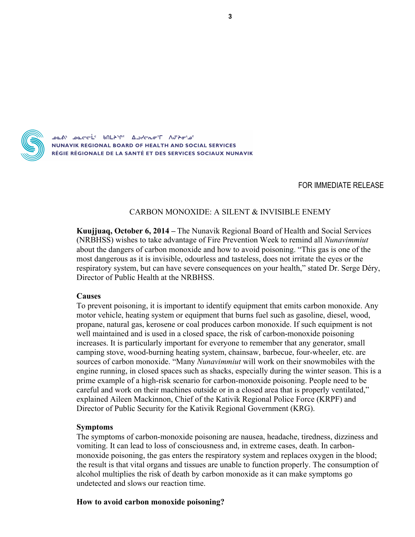

NUNAVIK REGIONAL BOARD OF HEALTH AND SOCIAL SERVICES RÉGIE RÉGIONALE DE LA SANTÉ ET DES SERVICES SOCIAUX NUNAVIK

### FOR IMMEDIATE RELEASE

### CARBON MONOXIDE: A SILENT & INVISIBLE ENEMY

**Kuujjuaq, October 6, 2014 –** The Nunavik Regional Board of Health and Social Services (NRBHSS) wishes to take advantage of Fire Prevention Week to remind all *Nunavimmiut* about the dangers of carbon monoxide and how to avoid poisoning. "This gas is one of the most dangerous as it is invisible, odourless and tasteless, does not irritate the eyes or the respiratory system, but can have severe consequences on your health," stated Dr. Serge Déry, Director of Public Health at the NRBHSS.

#### **Causes**

To prevent poisoning, it is important to identify equipment that emits carbon monoxide. Any motor vehicle, heating system or equipment that burns fuel such as gasoline, diesel, wood, propane, natural gas, kerosene or coal produces carbon monoxide. If such equipment is not well maintained and is used in a closed space, the risk of carbon-monoxide poisoning increases. It is particularly important for everyone to remember that any generator, small camping stove, wood-burning heating system, chainsaw, barbecue, four-wheeler, etc. are sources of carbon monoxide. "Many *Nunavimmiut* will work on their snowmobiles with the engine running, in closed spaces such as shacks, especially during the winter season. This is a prime example of a high-risk scenario for carbon-monoxide poisoning. People need to be careful and work on their machines outside or in a closed area that is properly ventilated," explained Aileen Mackinnon, Chief of the Kativik Regional Police Force (KRPF) and Director of Public Security for the Kativik Regional Government (KRG).

#### **Symptoms**

The symptoms of carbon-monoxide poisoning are nausea, headache, tiredness, dizziness and vomiting. It can lead to loss of consciousness and, in extreme cases, death. In carbonmonoxide poisoning, the gas enters the respiratory system and replaces oxygen in the blood; the result is that vital organs and tissues are unable to function properly. The consumption of alcohol multiplies the risk of death by carbon monoxide as it can make symptoms go undetected and slows our reaction time.

#### **How to avoid carbon monoxide poisoning?**